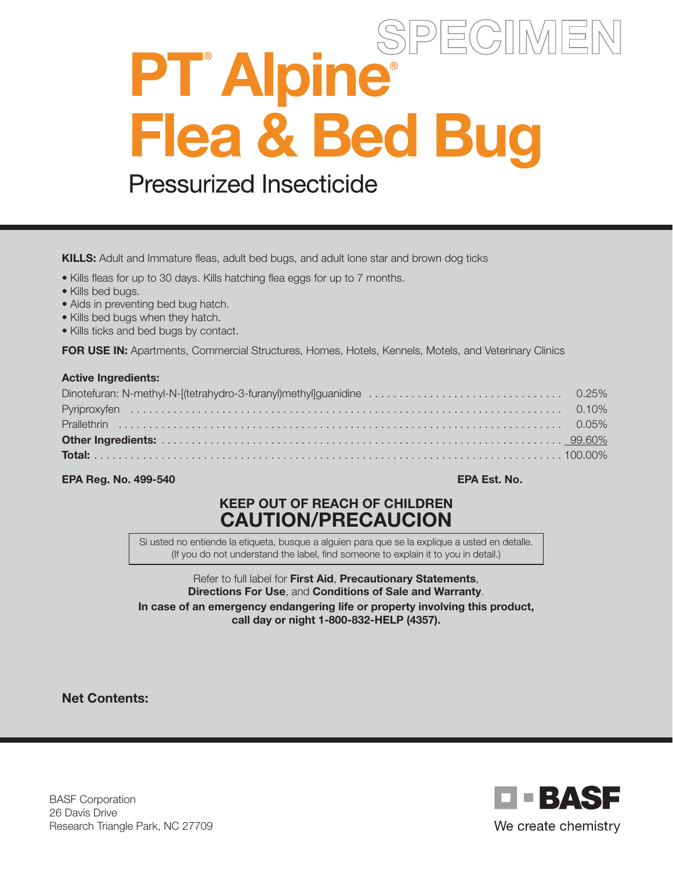# SPE( PT<sup>®</sup> Alpine® Flea & Bed Bug **Pressurized Insecticide**

KILLS: Adult and Immature fleas, adult bed bugs, and adult lone star and brown dog ticks

- Kills fleas for up to 30 days. Kills hatching flea eggs for up to 7 months.
- Kills bed bugs.
- Aids in preventing bed bug hatch.
- Kills bed bugs when they hatch.
- Kills ticks and bed bugs by contact.

FOR USE IN: Apartments, Commercial Structures, Homes, Hotels, Kennels, Motels, and Veterinary Clinics

#### Active Ingredients:

#### EPA Reg. No. 499-540 EPA Est. No.

# KEEP OUT OF REACH OF CHILDREN CAUTION/PRECAUCION

Si usted no entiende la etiqueta, busque a alguien para que se la explique a usted en detalle. (If you do not understand the label, find someone to explain it to you in detail.)

Refer to full label for First Aid, Precautionary Statements, Directions For Use, and Conditions of Sale and Warranty. In case of an emergency endangering life or property involving this product, call day or night 1-800-832-HELP (4357).

Net Contents:

BASF Corporation 26 Davis Drive Research Triangle Park, NC 27709

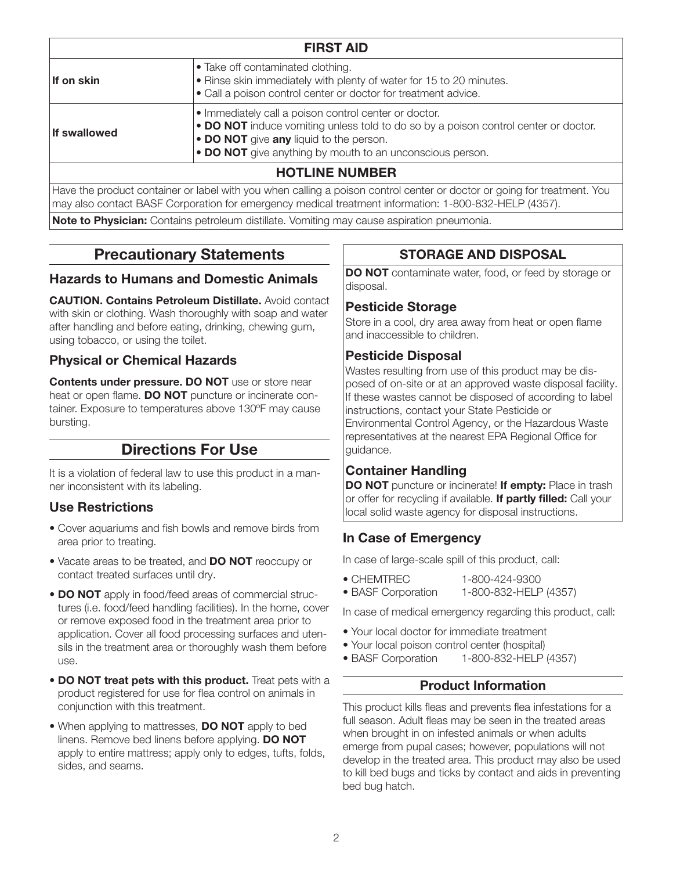| <b>FIRST AID</b>      |                                                                                                                                                                                                                                                      |  |
|-----------------------|------------------------------------------------------------------------------------------------------------------------------------------------------------------------------------------------------------------------------------------------------|--|
| If on skin            | • Take off contaminated clothing.<br>• Rinse skin immediately with plenty of water for 15 to 20 minutes.<br>• Call a poison control center or doctor for treatment advice.                                                                           |  |
| If swallowed          | • Immediately call a poison control center or doctor.<br>. DO NOT induce vomiting unless told to do so by a poison control center or doctor.<br>• DO NOT give any liquid to the person.<br>. DO NOT give anything by mouth to an unconscious person. |  |
| <b>HOTLINE NUMBER</b> |                                                                                                                                                                                                                                                      |  |

Have the product container or label with you when calling a poison control center or doctor or going for treatment. You may also contact BASF Corporation for emergency medical treatment information: 1-800-832-HELP (4357).

Note to Physician: Contains petroleum distillate. Vomiting may cause aspiration pneumonia.

# Precautionary Statements

#### Hazards to Humans and Domestic Animals

CAUTION. Contains Petroleum Distillate. Avoid contact with skin or clothing. Wash thoroughly with soap and water after handling and before eating, drinking, chewing gum, using tobacco, or using the toilet.

#### Physical or Chemical Hazards

Contents under pressure. DO NOT use or store near heat or open flame. DO NOT puncture or incinerate container. Exposure to temperatures above 130ºF may cause bursting.

# Directions For Use

It is a violation of federal law to use this product in a manner inconsistent with its labeling.

#### Use Restrictions

- Cover aquariums and fish bowls and remove birds from area prior to treating.
- Vacate areas to be treated, and DO NOT reoccupy or contact treated surfaces until dry.
- DO NOT apply in food/feed areas of commercial structures (i.e. food/feed handling facilities). In the home, cover or remove exposed food in the treatment area prior to application. Cover all food processing surfaces and utensils in the treatment area or thoroughly wash them before use.
- DO NOT treat pets with this product. Treat pets with a product registered for use for flea control on animals in conjunction with this treatment.
- When applying to mattresses, **DO NOT** apply to bed linens. Remove bed linens before applying. DO NOT apply to entire mattress; apply only to edges, tufts, folds, sides, and seams.

# STORAGE AND DISPOSAL

DO NOT contaminate water, food, or feed by storage or disposal.

#### Pesticide Storage

Store in a cool, dry area away from heat or open flame and inaccessible to children.

## Pesticide Disposal

Wastes resulting from use of this product may be disposed of on-site or at an approved waste disposal facility. If these wastes cannot be disposed of according to label instructions, contact your State Pesticide or Environmental Control Agency, or the Hazardous Waste representatives at the nearest EPA Regional Office for guidance.

## Container Handling

DO NOT puncture or incinerate! If empty: Place in trash or offer for recycling if available. If partly filled: Call your local solid waste agency for disposal instructions.

## In Case of Emergency

In case of large-scale spill of this product, call:

- CHEMTREC 1-800-424-9300
- BASF Corporation 1-800-832-HELP (4357)

In case of medical emergency regarding this product, call:

- Your local doctor for immediate treatment
- Your local poison control center (hospital)
- BASF Corporation 1-800-832-HELP (4357)

## Product Information

This product kills fleas and prevents flea infestations for a full season. Adult fleas may be seen in the treated areas when brought in on infested animals or when adults emerge from pupal cases; however, populations will not develop in the treated area. This product may also be used to kill bed bugs and ticks by contact and aids in preventing bed bug hatch.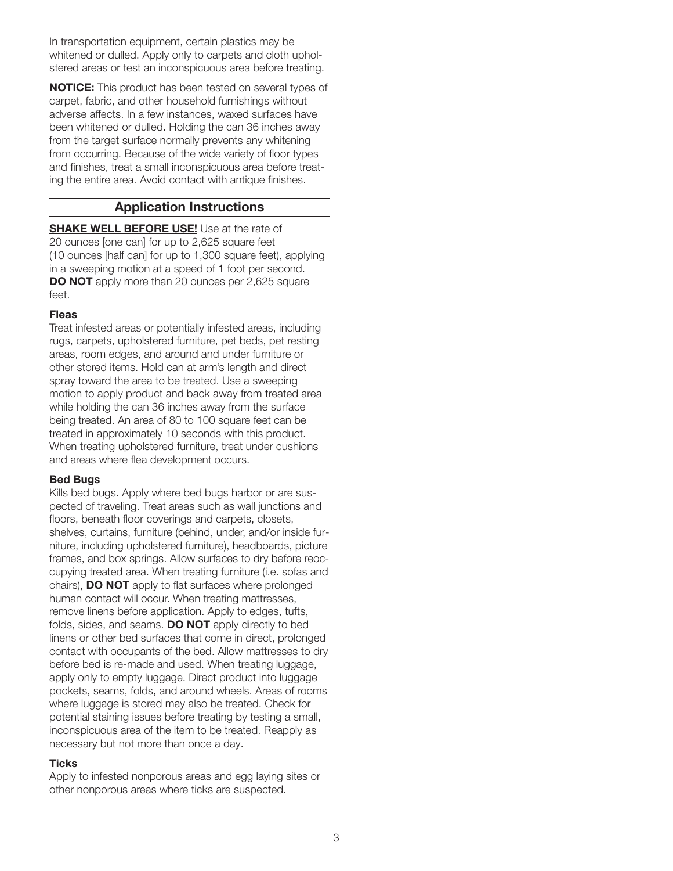In transportation equipment, certain plastics may be whitened or dulled. Apply only to carpets and cloth upholstered areas or test an inconspicuous area before treating.

**NOTICE:** This product has been tested on several types of carpet, fabric, and other household furnishings without adverse affects. In a few instances, waxed surfaces have been whitened or dulled. Holding the can 36 inches away from the target surface normally prevents any whitening from occurring. Because of the wide variety of floor types and finishes, treat a small inconspicuous area before treating the entire area. Avoid contact with antique finishes.

#### Application Instructions

**SHAKE WELL BEFORE USE!** Use at the rate of 20 ounces [one can] for up to 2,625 square feet (10 ounces [half can] for up to 1,300 square feet), applying in a sweeping motion at a speed of 1 foot per second. **DO NOT** apply more than 20 ounces per 2,625 square feet.

#### Fleas

Treat infested areas or potentially infested areas, including rugs, carpets, upholstered furniture, pet beds, pet resting areas, room edges, and around and under furniture or other stored items. Hold can at arm's length and direct spray toward the area to be treated. Use a sweeping motion to apply product and back away from treated area while holding the can 36 inches away from the surface being treated. An area of 80 to 100 square feet can be treated in approximately 10 seconds with this product. When treating upholstered furniture, treat under cushions and areas where flea development occurs.

#### Bed Bugs

Kills bed bugs. Apply where bed bugs harbor or are suspected of traveling. Treat areas such as wall junctions and floors, beneath floor coverings and carpets, closets, shelves, curtains, furniture (behind, under, and/or inside furniture, including upholstered furniture), headboards, picture frames, and box springs. Allow surfaces to dry before reoccupying treated area. When treating furniture (i.e. sofas and chairs), DO NOT apply to flat surfaces where prolonged human contact will occur. When treating mattresses, remove linens before application. Apply to edges, tufts, folds, sides, and seams. **DO NOT** apply directly to bed linens or other bed surfaces that come in direct, prolonged contact with occupants of the bed. Allow mattresses to dry before bed is re-made and used. When treating luggage, apply only to empty luggage. Direct product into luggage pockets, seams, folds, and around wheels. Areas of rooms where luggage is stored may also be treated. Check for potential staining issues before treating by testing a small, inconspicuous area of the item to be treated. Reapply as necessary but not more than once a day.

#### **Ticks**

Apply to infested nonporous areas and egg laying sites or other nonporous areas where ticks are suspected.